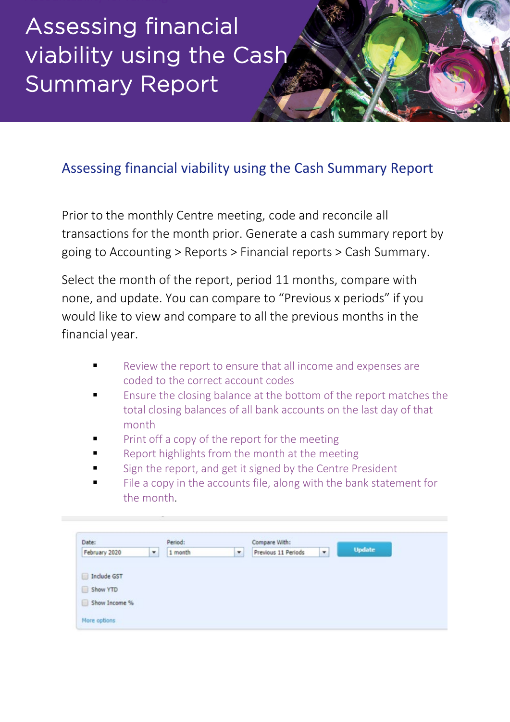## Assessing financial viability using the Cash Summary Report

## Assessing financial viability using the Cash Summary Report

Prior to the monthly Centre meeting, code and reconcile all transactions for the month prior. Generate a cash summary report by going to Accounting > Reports > Financial reports > Cash Summary.

Select the month of the report, period 11 months, compare with none, and update. You can compare to "Previous x periods" if you would like to view and compare to all the previous months in the financial year.

- Review the report to ensure that all income and expenses are coded to the correct account codes
- Ensure the closing balance at the bottom of the report matches the total closing balances of all bank accounts on the last day of that month
- Print off a copy of the report for the meeting
- Report highlights from the month at the meeting
- Sign the report, and get it signed by the Centre President
- File a copy in the accounts file, along with the bank statement for the month.

| Date:         |   | Period: |   | Compare With:       |                          |               |
|---------------|---|---------|---|---------------------|--------------------------|---------------|
| February 2020 | ۰ | 1 month | ۰ | Previous 11 Periods | $\overline{\phantom{a}}$ | <b>Update</b> |
|               |   |         |   |                     |                          |               |
| Include GST   |   |         |   |                     |                          |               |
|               |   |         |   |                     |                          |               |
| Show YTD      |   |         |   |                     |                          |               |
|               |   |         |   |                     |                          |               |